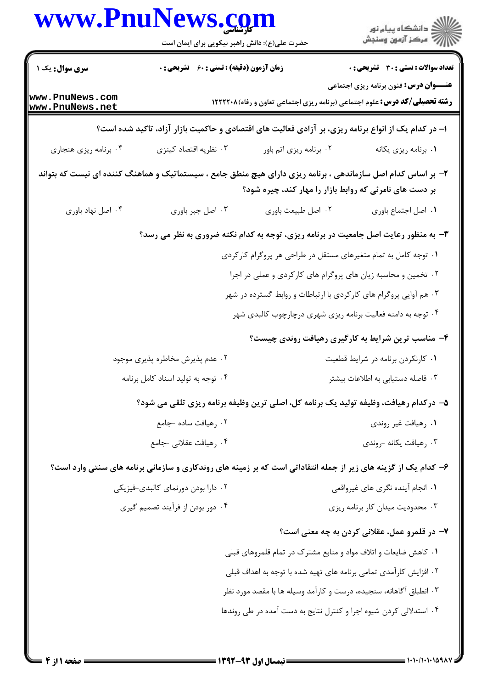|                                    | www.PnuNews.com                                                                                                |                                                                    | ر<br>دانشڪاه پيام نور)<br>اڳ مرڪز آزمون وسنڊش                                                                                        |
|------------------------------------|----------------------------------------------------------------------------------------------------------------|--------------------------------------------------------------------|--------------------------------------------------------------------------------------------------------------------------------------|
|                                    | حضرت علی(ع): دانش راهبر نیکویی برای ایمان است                                                                  |                                                                    |                                                                                                                                      |
| سری سوال : یک ۱                    | <b>زمان آزمون (دقیقه) : تستی : 60 ٪ تشریحی : 0</b>                                                             |                                                                    | <b>تعداد سوالات : تستي : 30 ٪ تشريحي : 0</b>                                                                                         |
| www.PnuNews.com<br>www.PnuNews.net |                                                                                                                |                                                                    | <b>عنـــوان درس: ف</b> نون برنامه ریزی اجتماعی<br><b>رشته تحصیلی/کد درس:</b> علوم اجتماعی (برنامه ریزی اجتماعی تعاون و رفاه) ۱۲۲۲۲۰۸ |
|                                    | ۱– در کدام یک از انواع برنامه ریزی، بر آزادی فعالیت های اقتصادی و حاکمیت بازار آزاد، تاکید شده است؟            |                                                                    |                                                                                                                                      |
| ۰۴ برنامه ریزی هنجاری              | ۰۳ نظریه اقتصاد کینزی                                                                                          | ۰۲ برنامه ریزی اتم باور                                            | ٠١ برنامه ريزي يكانه                                                                                                                 |
|                                    | ۲– بر اساس کدام اصل سازماندهی ، برنامه ریزی دارای هیچ منطق جامع ، سیستماتیک و هماهنگ کننده ای نیست که بتواند   | بر دست های نامرئی که روابط بازار را مهار کند، چیره شود؟            |                                                                                                                                      |
| ۰۴ اصل نهاد باوري                  | ۰۳ اصل جبر باوری                                                                                               | ٠٢ اصل طبيعت باوري                                                 | ٠١. اصل اجتماع باورى                                                                                                                 |
|                                    | ۰۳ به منظور رعایت اصل جامعیت در برنامه ریزی، توجه به کدام نکته ضروری به نظر می رسد؟                            |                                                                    |                                                                                                                                      |
|                                    |                                                                                                                | ۰۱ توجه کامل به تمام متغیرهای مستقل در طراحی هر پروگرام کارکردی    |                                                                                                                                      |
|                                    |                                                                                                                | ۰۲ تخمین و محاسبه زیان های پروگرام های کارکردی و عملی در اجرا      |                                                                                                                                      |
|                                    | ۰۳ هم آوایی پروگرام های کارکردی با ارتباطات و روابط گسترده در شهر                                              |                                                                    |                                                                                                                                      |
|                                    |                                                                                                                | ۰۴ توجه به دامنه فعالیت برنامه ریزی شهری درچارچوب کالبدی شهر       |                                                                                                                                      |
|                                    |                                                                                                                |                                                                    | ۴- مناسب ترین شرایط به کارگیری رهیافت روندی چیست؟                                                                                    |
| ۰۲ عدم پذیرش مخاطره پذیری موجود    |                                                                                                                |                                                                    | ٠١ كارنكردن برنامه در شرايط قطعيت                                                                                                    |
|                                    | ۰۴ توجه به تولید اسناد کامل برنامه                                                                             |                                                                    | ۰۳ فاصله دستیابی به اطلاعات بیشتر                                                                                                    |
|                                    | ۵– درکدام رهیافت، وظیفه تولید یک برنامه کل، اصلی ترین وظیفه برنامه ریزی تلقی می شود؟                           |                                                                    |                                                                                                                                      |
|                                    | ۰۲ رهيافت ساده -جامع                                                                                           |                                                                    | ۰۱ رهيافت غير روندي                                                                                                                  |
|                                    | ۰۴ رهيافت عقلاني -جامع                                                                                         |                                                                    | ۰۳ رهيافت يكانه -روندي                                                                                                               |
|                                    | ۶- کدام یک از گزینه های زیر از جمله انتقاداتی است که بر زمینه های روندکاری و سازمانی برنامه های سنتی وارد است؟ |                                                                    |                                                                                                                                      |
|                                    | ۰۲ دارا بودن دورنمای کالبدی-فیزیکی                                                                             |                                                                    | ۰۱ انجام آینده نگری های غیرواقعی                                                                                                     |
|                                    | ۰۴ دور بودن از فرآیند تصمیم گیری                                                                               |                                                                    | ۰۳ محدودیت میدان کار برنامه ریزی                                                                                                     |
|                                    |                                                                                                                |                                                                    | ۷– در قلمرو عمل، عقلانی کردن به چه معنی است؟                                                                                         |
|                                    |                                                                                                                | ۰۱ کاهش ضایعات و اتلاف مواد و منابع مشترک در تمام قلمروهای قبلی    |                                                                                                                                      |
|                                    |                                                                                                                | ۲ . افزایش کارآمدی تمامی برنامه های تهیه شده با توجه به اهداف قبلی |                                                                                                                                      |
|                                    |                                                                                                                | ۰۳ انطباق آگاهانه، سنجیده، درست و کارآمد وسیله ها با مقصد مورد نظر |                                                                                                                                      |
|                                    |                                                                                                                | ۰۴ استدلالی کردن شیوه اجرا و کنترل نتایج به دست آمده در طی روندها  |                                                                                                                                      |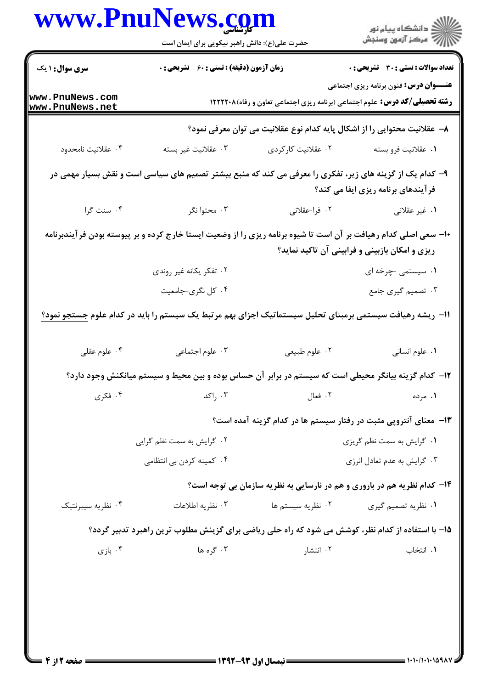|                                    | حضرت علی(ع): دانش راهبر نیکویی برای ایمان است                                                                    |                                                                          | ڪ دانشڪاه پيام نور<br>پ <sup>ر</sup> مرڪز آزمون وسنڊش |  |
|------------------------------------|------------------------------------------------------------------------------------------------------------------|--------------------------------------------------------------------------|-------------------------------------------------------|--|
| <b>سری سوال :</b> ۱ یک             | <b>زمان آزمون (دقیقه) : تستی : 60 ٪ تشریحی : 0</b>                                                               |                                                                          | <b>تعداد سوالات : تستی : 30 ٪ تشریحی : 0</b>          |  |
| www.PnuNews.com<br>www.PnuNews.net | <b>رشته تحصیلی/کد درس:</b> علوم اجتماعی (برنامه ریزی اجتماعی تعاون و رفاه)۱۲۲۲۲۰۸                                |                                                                          | <b>عنـــوان درس:</b> فنون برنامه ریزی اجتماعی         |  |
|                                    |                                                                                                                  | ٨− عقلانیت محتوایی را از اشکال پایه کدام نوع عقلانیت می توان معرفی نمود؟ |                                                       |  |
| ۰۴ عقلانيت نامحدود                 | ۰۳ عقلانيت غير بسته                                                                                              | ۰۲ عقلانیت کارکردی                                                       | ٠١. عقلانيت فرو بسته                                  |  |
|                                    | ۹- کدام یک از گزینه های زیر، تفکری را معرفی می کند که منبع بیشتر تصمیم های سیاسی است و نقش بسیار مهمی در         |                                                                          | فرآیندهای برنامه ریزی ایفا می کند؟                    |  |
| ۰۴ سنت گرا                         | ۰۳ محتوا نگر                                                                                                     | ٠٢ فرا-عقلاني                                                            | ۰۱ غیر عقلانی                                         |  |
|                                    | ∙۱− سعی اصلی کدام رهیافت بر آن است تا شیوه برنامه ریزی را از وضعیت ایستا خارج کرده و بر پیوسته بودن فرآیندبرنامه |                                                                          | ریزی و امکان بازبینی و فرابینی آن تاکید نماید؟        |  |
|                                    | ۰۲ تفکر یکانه غیر روندی                                                                                          |                                                                          | ۰۱ سیستمی چرخه ای                                     |  |
|                                    | ۰۴ کل نگري-جامعيت                                                                                                |                                                                          | ۰۳ تصمیم گیری جامع                                    |  |
|                                    | 11– ریشه رهیافت سیستمی برمبنای تحلیل سیستماتیک اجزای بهم مرتبط یک سیستم را باید در کدام علوم <u>جستجو نمود؟</u>  |                                                                          |                                                       |  |
| ۰۴ علوم عقلی                       | ۰۳ علوم اجتماعی                                                                                                  | ۰۲ علوم طبيعي                                                            | ٠١ علوم انساني                                        |  |
|                                    | ۱۲– کدام گزینه بیانگر محیطی است که سیستم در برابر آن حساس بوده و بین محیط و سیستم میانکنش وجود دارد؟             |                                                                          |                                                       |  |
| ۰۴ فکری                            | ۰۳ راکد                                                                                                          | ۰۲ فعال                                                                  | ۰۱ مرده                                               |  |
|                                    |                                                                                                                  | ۱۳- معنای آنتروپی مثبت در رفتار سیستم ها در کدام گزینه آمده است؟         |                                                       |  |
|                                    | ۰۲ گرایش به سمت نظم گرایی                                                                                        | ٠١ گرايش به سمت نظم گريزي                                                |                                                       |  |
|                                    | ۰۴ کمینه کردن بی انتظامی                                                                                         |                                                                          | ۰۳ گرایش به عدم تعادل انرژی                           |  |
|                                    |                                                                                                                  | ۱۴- کدام نظریه هم در باروری و هم در نارسایی به نظریه سازمان بی توجه است؟ |                                                       |  |
| ۰۴ نظریه سیبرنتیک                  | ۰۳ نظریه اطلاعات                                                                                                 | ۰۲ نظریه سیستم ها                                                        | ۰۱ نظریه تصمیم گیری                                   |  |
|                                    | 1۵- با استفاده از کدام نظر، کوشش می شود که راه حلی ریاضی برای گزینش مطلوب ترین راهبرد تدبیر گردد؟                |                                                                          |                                                       |  |
|                                    |                                                                                                                  | ۰۲ انتشار                                                                | ٠١. انتخاب                                            |  |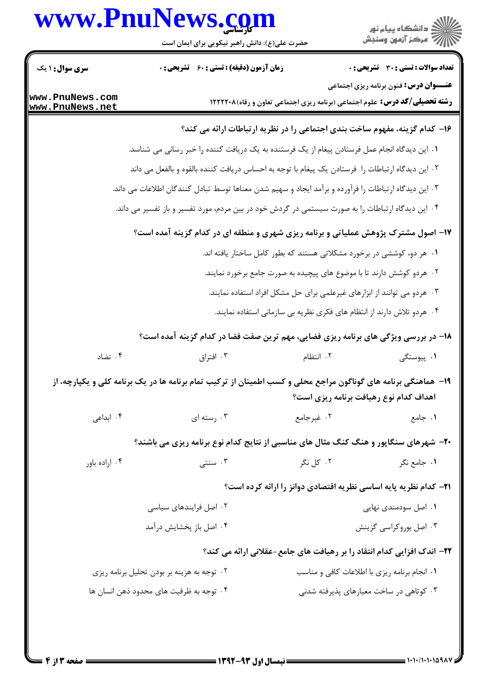## **WWW.PnuNews com**

|                                    | WWW.FIIUINEWS. <u>CQ</u> III<br>حضرت علی(ع): دانش راهبر نیکویی برای ایمان است                                  |            | ڪ دانشڪاه پيام نور<br>∕ مرڪز آزمون وسنڊش                                                                                            |
|------------------------------------|----------------------------------------------------------------------------------------------------------------|------------|-------------------------------------------------------------------------------------------------------------------------------------|
| <b>سری سوال : ۱ یک</b>             | <b>زمان آزمون (دقیقه) : تستی : 60 ٪ تشریحی : 0</b>                                                             |            | <b>تعداد سوالات : تستی : 30 ٪ تشریحی : 0</b>                                                                                        |
| www.PnuNews.com<br>www.PnuNews.net |                                                                                                                |            | <b>عنـــوان درس:</b> فنون برنامه ریزی اجتماعی<br><b>رشته تحصیلی/کد درس:</b> علوم اجتماعی (برنامه ریزی اجتماعی تعاون و رفاه) ۱۲۲۲۲۰۸ |
|                                    |                                                                                                                |            | ۱۶– کدام گزینه، مفهوم ساخت بندی اجتماعی را در نظریه ارتباطات ارائه می کند؟                                                          |
|                                    | ۰۱ این دیدگاه انجام عمل فرستادن پیغام از یک فرستنده به یک دریافت کننده را خبر رسانی می شناسد.                  |            |                                                                                                                                     |
|                                    | ۲ . این دیدگاه ارتباطات را  فرستادن یک پیغام با توجه به احساس دریافت کننده بالقوه و بالفعل می داند             |            |                                                                                                                                     |
|                                    | ۰۳ این دیدگاه ارتباطات را فرآورده و برآمد ایجاد و سهیم شدن معناها توسط تبادل کنندگان اطلاعات می داند.          |            |                                                                                                                                     |
|                                    | ۰۴ این دیدگاه ارتباطات را به صورت سیستمی در گردش خود در بین مردم، مورد تفسیر و باز تفسیر می داند.              |            |                                                                                                                                     |
|                                    | ۱۷– اصول مشترک پژوهش عملیاتی و برنامه ریزی شهری و منطقه ای در کدام گزینه آمده است؟                             |            |                                                                                                                                     |
|                                    |                                                                                                                |            | ۰۱ هر دو، کوششی در برخورد مشکلاتی هستند که بطور کامل ساختار یافته اند.                                                              |
|                                    |                                                                                                                |            | ۰۲ هردو کوشش دارند تا با موضوع های پیچیده به صورت جامع برخورد نمایند.                                                               |
|                                    |                                                                                                                |            | ۰۳ هردو می توانند از ابزارهای غیرعلمی برای حل مشکل افراد استفاده نمایند.                                                            |
|                                    |                                                                                                                |            | ۰۴ هردو تلاش دارند از انتظام های فکری نظریه بی سازمانی استفاده نمایند.                                                              |
|                                    | ۱۸– در بررسی ویژگی های برنامه ریزی فضایی، مهم ترین صفت فضا در کدام گزینه آمده است؟                             |            |                                                                                                                                     |
| ۰۴ تضاد                            | ۰۳ افتراق                                                                                                      | ۰۲ انتظام  | ۰۱ پیوستگی                                                                                                                          |
|                                    | ۱۹- هماهنگی برنامه های گوناگون مراجع محلی و کسب اطمینان از ترکیب تمام برنامه ها در یک برنامه کلی و یکپارچه، از |            | اهداف كدام نوع رهيافت برنامه ريزى است؟                                                                                              |
| ۰۴ ابداعی                          | ۰۳ رسته ای                                                                                                     | ۰۲ غیرجامع | ۰۱ جامع                                                                                                                             |
|                                    | ۲۰- شهرهای سنگاپور و هنگ کنگ مثال های مناسبی از نتایج کدام نوع برنامه ریزی می باشند؟                           |            |                                                                                                                                     |
| ۰۴ اراده باور                      | سنتى $\cdot^{\mathsf{v}}$                                                                                      | ۰۲ کل نگر  | ۰۱ جامع نگر                                                                                                                         |
|                                    |                                                                                                                |            | <b>۲۱</b> - کدام نظریه پایه اساسی نظریه اقتصادی دوانز را ارائه کرده است؟                                                            |
|                                    | ۰۲ اصل فرایندهای سیاسی                                                                                         |            | ۰۱ اصل سودمندی نهایی                                                                                                                |
|                                    | ۰۴ اصل باز پخشایش درآمد                                                                                        |            | ۰۳ اصل بوروکراسی گزینش                                                                                                              |
|                                    |                                                                                                                |            | ۲۲- اندک افزایی کدام انتقاد را بر رهیافت های جامع-عقلانی ارائه می کند؟                                                              |
|                                    | ۰۲ توجه به هزینه بر بودن تحلیل برنامه ریزی                                                                     |            | ۰۱ انجام برنامه ریزی با اطلاعات کافی و مناسب                                                                                        |
|                                    | ۰۴ توجه به ظرفیت های محدود ذهن انسان ها                                                                        |            | ۰۳ کوتاهی در ساخت معیارهای پذیرفته شدنی                                                                                             |